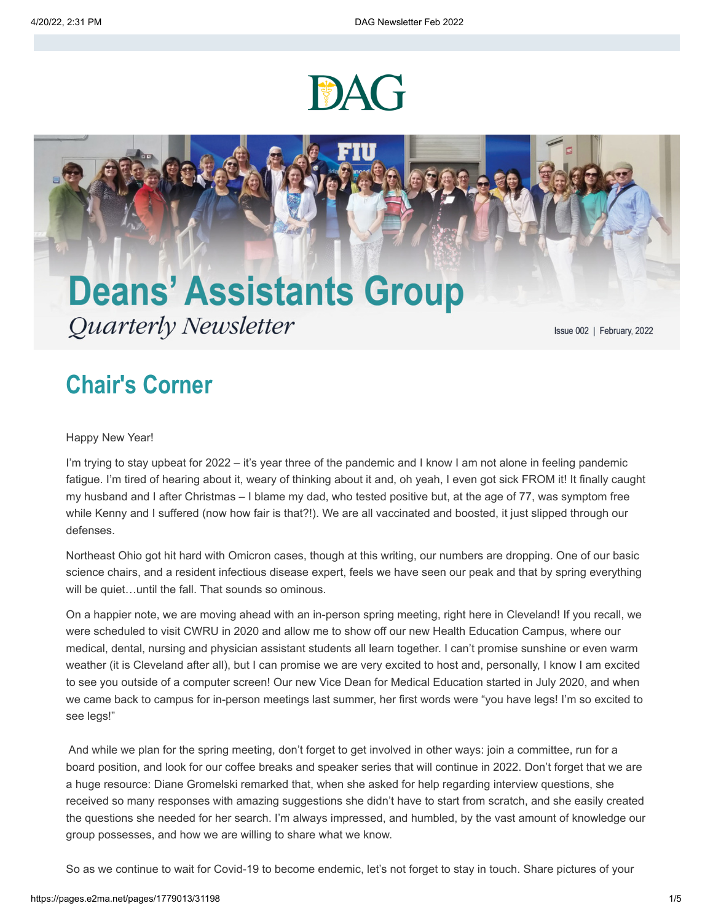



## **Chair's Corner**

Happy New Year!

I'm trying to stay upbeat for 2022 – it's year three of the pandemic and I know I am not alone in feeling pandemic fatigue. I'm tired of hearing about it, weary of thinking about it and, oh yeah, I even got sick FROM it! It finally caught my husband and I after Christmas – I blame my dad, who tested positive but, at the age of 77, was symptom free while Kenny and I suffered (now how fair is that?!). We are all vaccinated and boosted, it just slipped through our defenses.

Northeast Ohio got hit hard with Omicron cases, though at this writing, our numbers are dropping. One of our basic science chairs, and a resident infectious disease expert, feels we have seen our peak and that by spring everything will be quiet…until the fall. That sounds so ominous.

On a happier note, we are moving ahead with an in-person spring meeting, right here in Cleveland! If you recall, we were scheduled to visit CWRU in 2020 and allow me to show off our new Health Education Campus, where our medical, dental, nursing and physician assistant students all learn together. I can't promise sunshine or even warm weather (it is Cleveland after all), but I can promise we are very excited to host and, personally, I know I am excited to see you outside of a computer screen! Our new Vice Dean for Medical Education started in July 2020, and when we came back to campus for in-person meetings last summer, her first words were "you have legs! I'm so excited to see legs!"

And while we plan for the spring meeting, don't forget to get involved in other ways: join a committee, run for a board position, and look for our coffee breaks and speaker series that will continue in 2022. Don't forget that we are a huge resource: Diane Gromelski remarked that, when she asked for help regarding interview questions, she received so many responses with amazing suggestions she didn't have to start from scratch, and she easily created the questions she needed for her search. I'm always impressed, and humbled, by the vast amount of knowledge our group possesses, and how we are willing to share what we know.

So as we continue to wait for Covid-19 to become endemic, let's not forget to stay in touch. Share pictures of your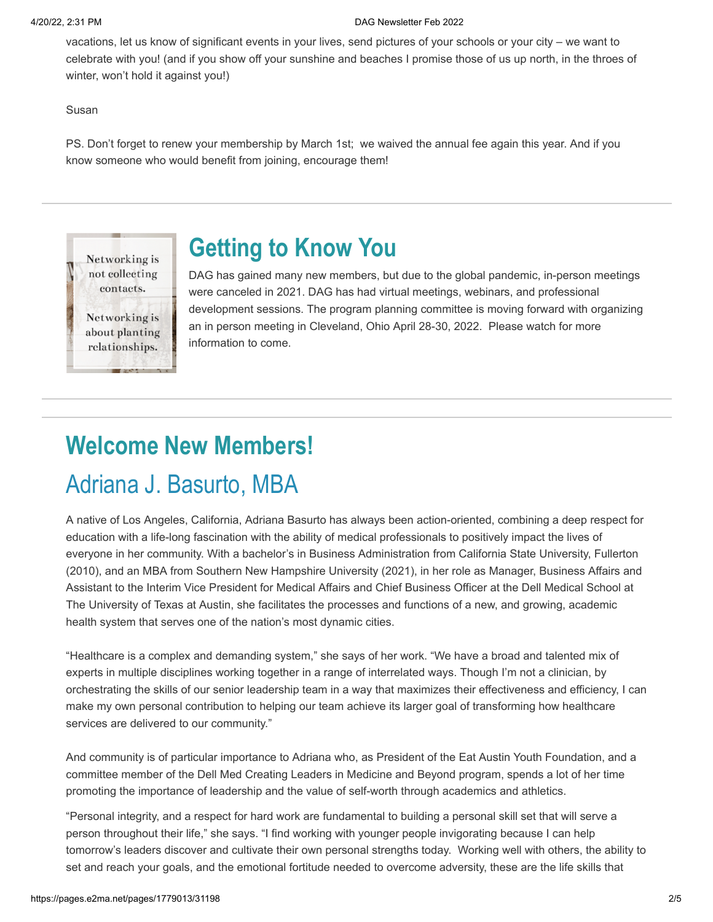### 4/20/22, 2:31 PM DAG Newsletter Feb 2022

vacations, let us know of significant events in your lives, send pictures of your schools or your city – we want to celebrate with you! (and if you show off your sunshine and beaches I promise those of us up north, in the throes of winter, won't hold it against you!)

Susan

Networking is not collecting contacts.

Networking is about planting relationships.

PS. Don't forget to renew your membership by March 1st; we waived the annual fee again this year. And if you know someone who would benefit from joining, encourage them!

**Getting to Know You**

DAG has gained many new members, but due to the global pandemic, in-person meetings were canceled in 2021. DAG has had virtual meetings, webinars, and professional development sessions. The program planning committee is moving forward with organizing an in person meeting in Cleveland, Ohio April 28-30, 2022. Please watch for more information to come.

# **Welcome New Members!** Adriana J. Basurto, MBA

A native of Los Angeles, California, Adriana Basurto has always been action-oriented, combining a deep respect for education with a life-long fascination with the ability of medical professionals to positively impact the lives of everyone in her community. With a bachelor's in Business Administration from California State University, Fullerton (2010), and an MBA from Southern New Hampshire University (2021), in her role as Manager, Business Affairs and Assistant to the Interim Vice President for Medical Affairs and Chief Business Officer at the Dell Medical School at The University of Texas at Austin, she facilitates the processes and functions of a new, and growing, academic health system that serves one of the nation's most dynamic cities.

"Healthcare is a complex and demanding system," she says of her work. "We have a broad and talented mix of experts in multiple disciplines working together in a range of interrelated ways. Though I'm not a clinician, by orchestrating the skills of our senior leadership team in a way that maximizes their effectiveness and efficiency, I can make my own personal contribution to helping our team achieve its larger goal of transforming how healthcare services are delivered to our community."

And community is of particular importance to Adriana who, as President of the Eat Austin Youth Foundation, and a committee member of the Dell Med Creating Leaders in Medicine and Beyond program, spends a lot of her time promoting the importance of leadership and the value of self-worth through academics and athletics.

"Personal integrity, and a respect for hard work are fundamental to building a personal skill set that will serve a person throughout their life," she says. "I find working with younger people invigorating because I can help tomorrow's leaders discover and cultivate their own personal strengths today. Working well with others, the ability to set and reach your goals, and the emotional fortitude needed to overcome adversity, these are the life skills that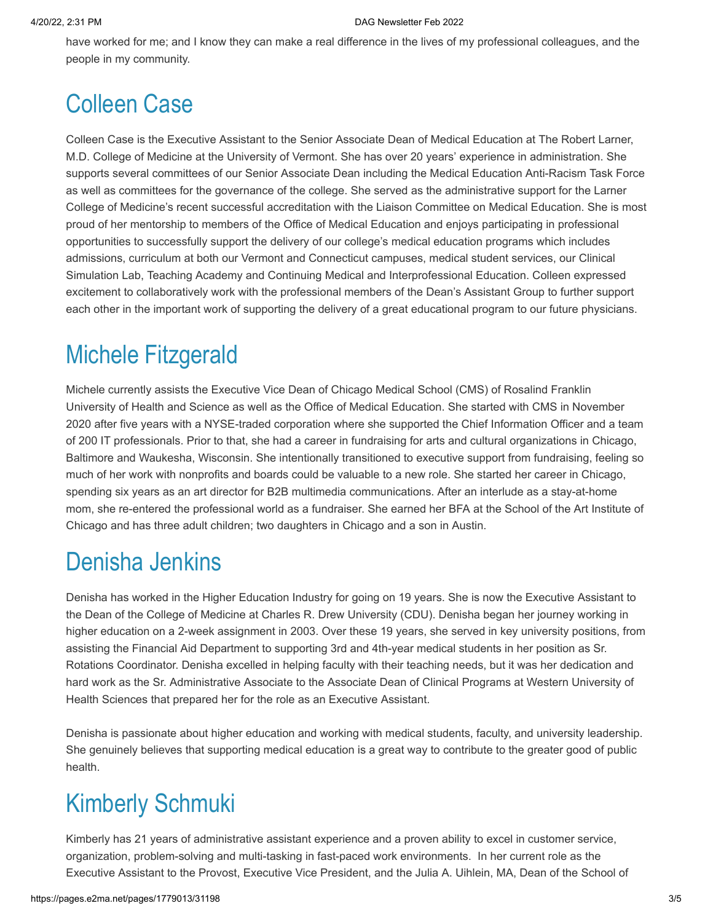have worked for me; and I know they can make a real difference in the lives of my professional colleagues, and the people in my community.

# Colleen Case

Colleen Case is the Executive Assistant to the Senior Associate Dean of Medical Education at The Robert Larner, M.D. College of Medicine at the University of Vermont. She has over 20 years' experience in administration. She supports several committees of our Senior Associate Dean including the Medical Education Anti-Racism Task Force as well as committees for the governance of the college. She served as the administrative support for the Larner College of Medicine's recent successful accreditation with the Liaison Committee on Medical Education. She is most proud of her mentorship to members of the Office of Medical Education and enjoys participating in professional opportunities to successfully support the delivery of our college's medical education programs which includes admissions, curriculum at both our Vermont and Connecticut campuses, medical student services, our Clinical Simulation Lab, Teaching Academy and Continuing Medical and Interprofessional Education. Colleen expressed excitement to collaboratively work with the professional members of the Dean's Assistant Group to further support each other in the important work of supporting the delivery of a great educational program to our future physicians.

## Michele Fitzgerald

Michele currently assists the Executive Vice Dean of Chicago Medical School (CMS) of Rosalind Franklin University of Health and Science as well as the Office of Medical Education. She started with CMS in November 2020 after five years with a NYSE-traded corporation where she supported the Chief Information Officer and a team of 200 IT professionals. Prior to that, she had a career in fundraising for arts and cultural organizations in Chicago, Baltimore and Waukesha, Wisconsin. She intentionally transitioned to executive support from fundraising, feeling so much of her work with nonprofits and boards could be valuable to a new role. She started her career in Chicago, spending six years as an art director for B2B multimedia communications. After an interlude as a stay-at-home mom, she re-entered the professional world as a fundraiser. She earned her BFA at the School of the Art Institute of Chicago and has three adult children; two daughters in Chicago and a son in Austin.

## Denisha Jenkins

Denisha has worked in the Higher Education Industry for going on 19 years. She is now the Executive Assistant to the Dean of the College of Medicine at Charles R. Drew University (CDU). Denisha began her journey working in higher education on a 2-week assignment in 2003. Over these 19 years, she served in key university positions, from assisting the Financial Aid Department to supporting 3rd and 4th-year medical students in her position as Sr. Rotations Coordinator. Denisha excelled in helping faculty with their teaching needs, but it was her dedication and hard work as the Sr. Administrative Associate to the Associate Dean of Clinical Programs at Western University of Health Sciences that prepared her for the role as an Executive Assistant.

Denisha is passionate about higher education and working with medical students, faculty, and university leadership. She genuinely believes that supporting medical education is a great way to contribute to the greater good of public health.

# Kimberly Schmuki

Kimberly has 21 years of administrative assistant experience and a proven ability to excel in customer service, organization, problem-solving and multi-tasking in fast-paced work environments. In her current role as the Executive Assistant to the Provost, Executive Vice President, and the Julia A. Uihlein, MA, Dean of the School of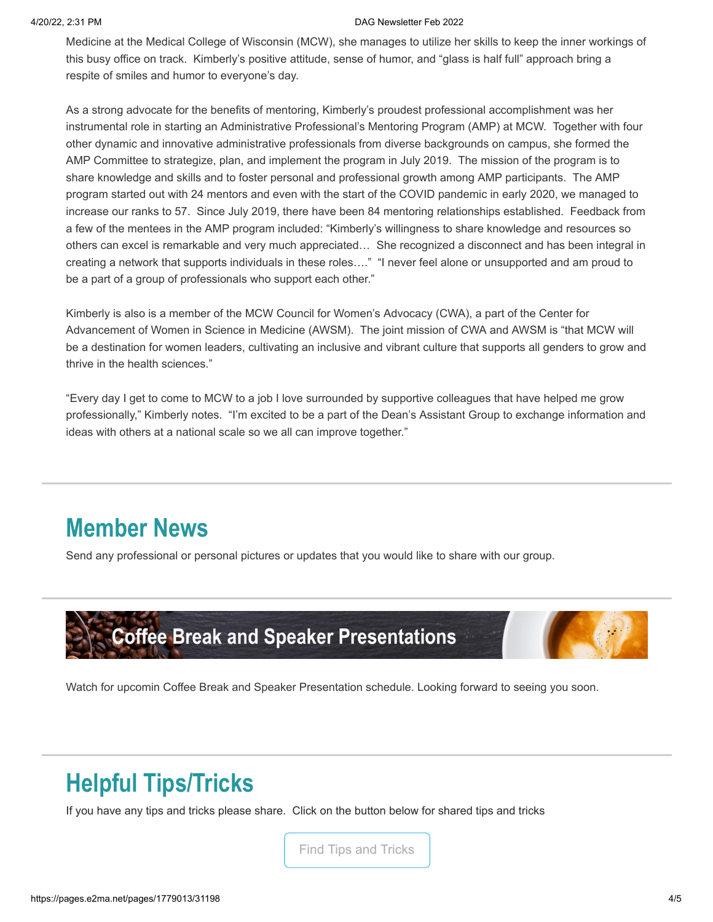#### 4/20/22, 2:31 PM DAG Newsletter Feb 2022

Medicine at the Medical College of Wisconsin (MCW), she manages to utilize her skills to keep the inner workings of this busy office on track. Kimberly's positive attitude, sense of humor, and "glass is half full" approach bring a respite of smiles and humor to everyone's day.

As a strong advocate for the benefits of mentoring, Kimberly's proudest professional accomplishment was her instrumental role in starting an Administrative Professional's Mentoring Program (AMP) at MCW. Together with four other dynamic and innovative administrative professionals from diverse backgrounds on campus, she formed the AMP Committee to strategize, plan, and implement the program in July 2019. The mission of the program is to share knowledge and skills and to foster personal and professional growth among AMP participants. The AMP program started out with 24 mentors and even with the start of the COVID pandemic in early 2020, we managed to increase our ranks to 57. Since July 2019, there have been 84 mentoring relationships established. Feedback from a few of the mentees in the AMP program included: "Kimberly's willingness to share knowledge and resources so others can excel is remarkable and very much appreciated… She recognized a disconnect and has been integral in creating a network that supports individuals in these roles…." "I never feel alone or unsupported and am proud to be a part of a group of professionals who support each other."

Kimberly is also is a member of the MCW Council for Women's Advocacy (CWA), a part of the Center for Advancement of Women in Science in Medicine (AWSM). The joint mission of CWA and AWSM is "that MCW will be a destination for women leaders, cultivating an inclusive and vibrant culture that supports all genders to grow and thrive in the health sciences."

"Every day I get to come to MCW to a job I love surrounded by supportive colleagues that have helped me grow professionally," Kimberly notes. "I'm excited to be a part of the Dean's Assistant Group to exchange information and ideas with others at a national scale so we all can improve together."

## **Member News**

Send any professional or personal pictures or updates that you would like to share with our group.



Watch for upcomin Coffee Break and Speaker Presentation schedule. Looking forward to seeing you soon.

## **Helpful Tips/Tricks**

If you have any tips and tricks please share. Click on the button below for shared tips and tricks

[Find Tips and Tricks](https://drive.google.com/file/d/1DpBQ2qkKQ1WDYmMqGLtu5lKMml6GWhjt/view?usp=sharing)